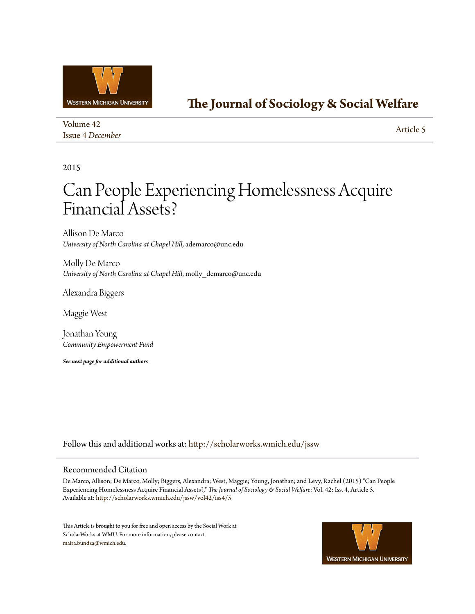

# **[The Journal of Sociology & Social Welfare](http://scholarworks.wmich.edu/jssw?utm_source=scholarworks.wmich.edu%2Fjssw%2Fvol42%2Fiss4%2F5&utm_medium=PDF&utm_campaign=PDFCoverPages)**

| Volume 42               |  |
|-------------------------|--|
| <b>Issue 4 December</b> |  |

[Article 5](http://scholarworks.wmich.edu/jssw/vol42/iss4/5?utm_source=scholarworks.wmich.edu%2Fjssw%2Fvol42%2Fiss4%2F5&utm_medium=PDF&utm_campaign=PDFCoverPages)

# 2015

# Can People Experiencing Homelessness Acquire Financial Assets?

Allison De Marco *University of North Carolina at Chapel Hill*, ademarco@unc.edu

Molly De Marco *University of North Carolina at Chapel Hill*, molly\_demarco@unc.edu

Alexandra Biggers

Maggie West

Jonathan Young *Community Empowerment Fund*

*See next page for additional authors*

Follow this and additional works at: [http://scholarworks.wmich.edu/jssw](http://scholarworks.wmich.edu/jssw?utm_source=scholarworks.wmich.edu%2Fjssw%2Fvol42%2Fiss4%2F5&utm_medium=PDF&utm_campaign=PDFCoverPages)

# Recommended Citation

De Marco, Allison; De Marco, Molly; Biggers, Alexandra; West, Maggie; Young, Jonathan; and Levy, Rachel (2015) "Can People Experiencing Homelessness Acquire Financial Assets?," *The Journal of Sociology & Social Welfare*: Vol. 42: Iss. 4, Article 5. Available at: [http://scholarworks.wmich.edu/jssw/vol42/iss4/5](http://scholarworks.wmich.edu/jssw/vol42/iss4/5?utm_source=scholarworks.wmich.edu%2Fjssw%2Fvol42%2Fiss4%2F5&utm_medium=PDF&utm_campaign=PDFCoverPages)

This Article is brought to you for free and open access by the Social Work at ScholarWorks at WMU. For more information, please contact [maira.bundza@wmich.edu](mailto:maira.bundza@wmich.edu).

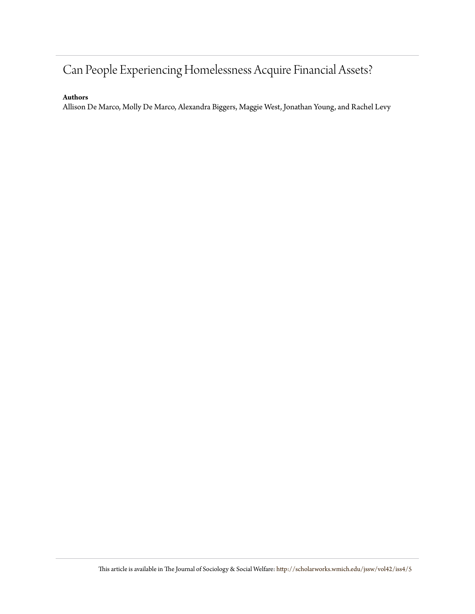# Can People Experiencing Homelessness Acquire Financial Assets?

# **Authors**

Allison De Marco, Molly De Marco, Alexandra Biggers, Maggie West, Jonathan Young, and Rachel Levy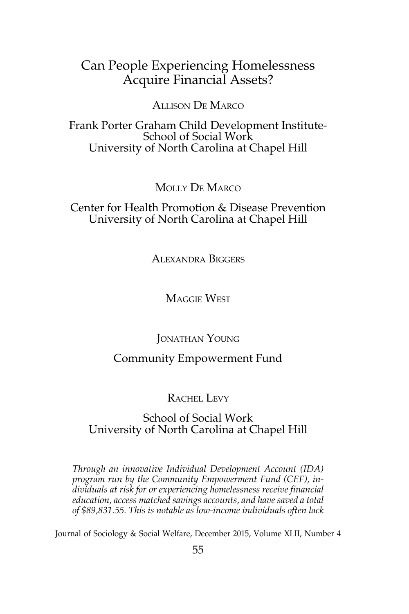# Can People Experiencing Homelessness Acquire Financial Assets?

# Allison De Marco

Frank Porter Graham Child Development Institute-School of Social Work University of North Carolina at Chapel Hill

# Molly De Marco

Center for Health Promotion & Disease Prevention University of North Carolina at Chapel Hill

Alexandra Biggers

Maggie West

Jonathan Young

# Community Empowerment Fund

## RACHEL LEVY

## School of Social Work University of North Carolina at Chapel Hill

*Through an innovative Individual Development Account (IDA) program run by the Community Empowerment Fund (CEF), individuals at risk for or experiencing homelessness receive financial education, access matched savings accounts, and have saved a total of \$89,831.55. This is notable as low-income individuals often lack* 

Journal of Sociology & Social Welfare, December 2015, Volume XLII, Number 4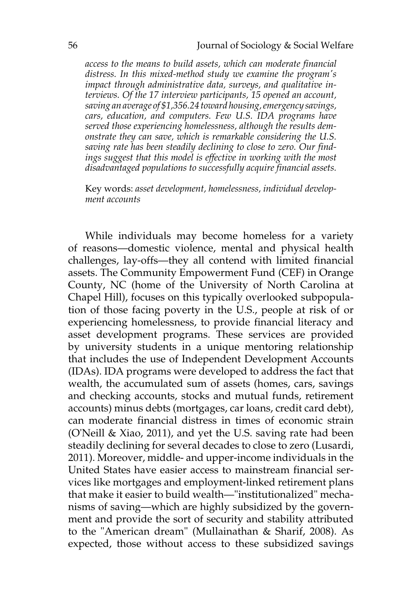*access to the means to build assets, which can moderate financial distress. In this mixed-method study we examine the program's impact through administrative data, surveys, and qualitative interviews. Of the 17 interview participants, 15 opened an account, saving an average of \$1,356.24 toward housing, emergency savings, cars, education, and computers. Few U.S. IDA programs have served those experiencing homelessness, although the results demonstrate they can save, which is remarkable considering the U.S. saving rate has been steadily declining to close to zero. Our find*ings suggest that this model is effective in working with the most *disadvantaged populations to successfully acquire financial assets.* 

Key words: *asset development, homelessness, individual development accounts*

While individuals may become homeless for a variety of reasons—domestic violence, mental and physical health challenges, lay-offs—they all contend with limited financial assets. The Community Empowerment Fund (CEF) in Orange County, NC (home of the University of North Carolina at Chapel Hill), focuses on this typically overlooked subpopulation of those facing poverty in the U.S., people at risk of or experiencing homelessness, to provide financial literacy and asset development programs. These services are provided by university students in a unique mentoring relationship that includes the use of Independent Development Accounts (IDAs). IDA programs were developed to address the fact that wealth, the accumulated sum of assets (homes, cars, savings and checking accounts, stocks and mutual funds, retirement accounts) minus debts (mortgages, car loans, credit card debt), can moderate financial distress in times of economic strain (O'Neill & Xiao, 2011), and yet the U.S. saving rate had been steadily declining for several decades to close to zero (Lusardi, 2011). Moreover, middle- and upper-income individuals in the United States have easier access to mainstream financial services like mortgages and employment-linked retirement plans that make it easier to build wealth—"institutionalized" mechanisms of saving—which are highly subsidized by the government and provide the sort of security and stability attributed to the "American dream" (Mullainathan & Sharif, 2008). As expected, those without access to these subsidized savings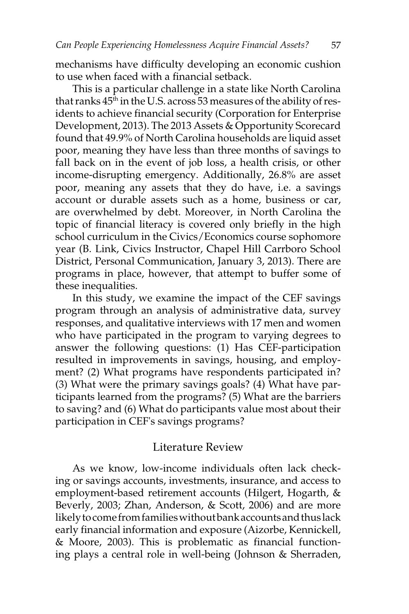mechanisms have difficulty developing an economic cushion to use when faced with a financial setback.

This is a particular challenge in a state like North Carolina that ranks  $45<sup>th</sup>$  in the U.S. across 53 measures of the ability of residents to achieve financial security (Corporation for Enterprise Development, 2013). The 2013 Assets & Opportunity Scorecard found that 49.9% of North Carolina households are liquid asset poor, meaning they have less than three months of savings to fall back on in the event of job loss, a health crisis, or other income-disrupting emergency. Additionally, 26.8% are asset poor, meaning any assets that they do have, i.e. a savings account or durable assets such as a home, business or car, are overwhelmed by debt. Moreover, in North Carolina the topic of financial literacy is covered only briefly in the high school curriculum in the Civics/Economics course sophomore year (B. Link, Civics Instructor, Chapel Hill Carrboro School District, Personal Communication, January 3, 2013). There are programs in place, however, that attempt to buffer some of these inequalities.

In this study, we examine the impact of the CEF savings program through an analysis of administrative data, survey responses, and qualitative interviews with 17 men and women who have participated in the program to varying degrees to answer the following questions: (1) Has CEF-participation resulted in improvements in savings, housing, and employment? (2) What programs have respondents participated in? (3) What were the primary savings goals? (4) What have participants learned from the programs? (5) What are the barriers to saving? and (6) What do participants value most about their participation in CEF's savings programs?

#### Literature Review

As we know, low-income individuals often lack checking or savings accounts, investments, insurance, and access to employment-based retirement accounts (Hilgert, Hogarth, & Beverly, 2003; Zhan, Anderson, & Scott, 2006) and are more likely to come from families without bank accounts and thus lack early financial information and exposure (Aizorbe, Kennickell, & Moore, 2003). This is problematic as financial functioning plays a central role in well-being (Johnson & Sherraden,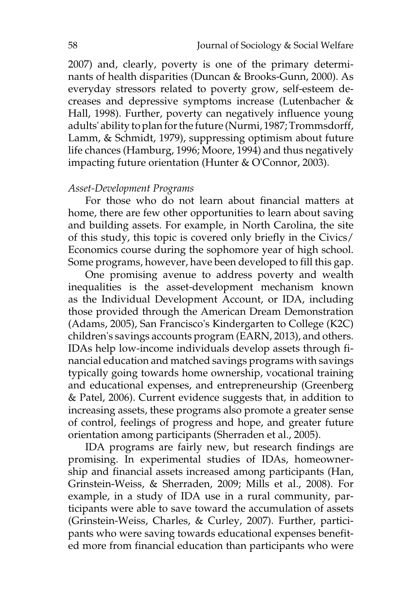2007) and, clearly, poverty is one of the primary determinants of health disparities (Duncan & Brooks-Gunn, 2000). As everyday stressors related to poverty grow, self-esteem decreases and depressive symptoms increase (Lutenbacher & Hall, 1998). Further, poverty can negatively influence young adults' ability to plan for the future (Nurmi, 1987; Trommsdorff, Lamm, & Schmidt, 1979), suppressing optimism about future life chances (Hamburg, 1996; Moore, 1994) and thus negatively impacting future orientation (Hunter & O'Connor, 2003).

#### *Asset-Development Programs*

For those who do not learn about financial matters at home, there are few other opportunities to learn about saving and building assets. For example, in North Carolina, the site of this study, this topic is covered only briefly in the Civics/ Economics course during the sophomore year of high school. Some programs, however, have been developed to fill this gap.

One promising avenue to address poverty and wealth inequalities is the asset-development mechanism known as the Individual Development Account, or IDA, including those provided through the American Dream Demonstration (Adams, 2005), San Francisco's Kindergarten to College (K2C) children's savings accounts program (EARN, 2013), and others. IDAs help low-income individuals develop assets through financial education and matched savings programs with savings typically going towards home ownership, vocational training and educational expenses, and entrepreneurship (Greenberg & Patel, 2006). Current evidence suggests that, in addition to increasing assets, these programs also promote a greater sense of control, feelings of progress and hope, and greater future orientation among participants (Sherraden et al., 2005).

IDA programs are fairly new, but research findings are promising. In experimental studies of IDAs, homeownership and financial assets increased among participants (Han, Grinstein-Weiss, & Sherraden, 2009; Mills et al., 2008). For example, in a study of IDA use in a rural community, participants were able to save toward the accumulation of assets (Grinstein-Weiss, Charles, & Curley, 2007). Further, participants who were saving towards educational expenses benefited more from financial education than participants who were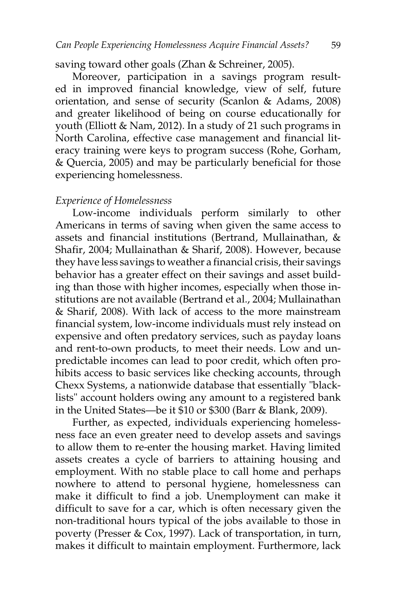saving toward other goals (Zhan & Schreiner, 2005).

Moreover, participation in a savings program resulted in improved financial knowledge, view of self, future orientation, and sense of security (Scanlon & Adams, 2008) and greater likelihood of being on course educationally for youth (Elliott & Nam, 2012). In a study of 21 such programs in North Carolina, effective case management and financial literacy training were keys to program success (Rohe, Gorham, & Quercia, 2005) and may be particularly beneficial for those experiencing homelessness.

#### *Experience of Homelessness*

Low-income individuals perform similarly to other Americans in terms of saving when given the same access to assets and financial institutions (Bertrand, Mullainathan, & Shafir, 2004; Mullainathan & Sharif, 2008). However, because they have less savings to weather a financial crisis, their savings behavior has a greater effect on their savings and asset building than those with higher incomes, especially when those institutions are not available (Bertrand et al., 2004; Mullainathan & Sharif, 2008). With lack of access to the more mainstream financial system, low-income individuals must rely instead on expensive and often predatory services, such as payday loans and rent-to-own products, to meet their needs. Low and unpredictable incomes can lead to poor credit, which often prohibits access to basic services like checking accounts, through Chexx Systems, a nationwide database that essentially "blacklists" account holders owing any amount to a registered bank in the United States—be it \$10 or \$300 (Barr & Blank, 2009).

Further, as expected, individuals experiencing homelessness face an even greater need to develop assets and savings to allow them to re-enter the housing market. Having limited assets creates a cycle of barriers to attaining housing and employment. With no stable place to call home and perhaps nowhere to attend to personal hygiene, homelessness can make it difficult to find a job. Unemployment can make it difficult to save for a car, which is often necessary given the non-traditional hours typical of the jobs available to those in poverty (Presser & Cox, 1997). Lack of transportation, in turn, makes it difficult to maintain employment. Furthermore, lack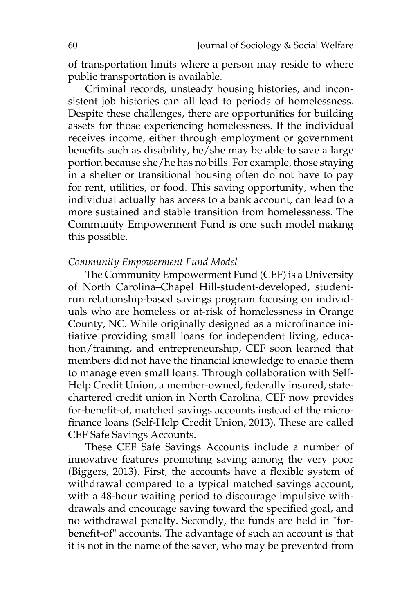of transportation limits where a person may reside to where public transportation is available.

Criminal records, unsteady housing histories, and inconsistent job histories can all lead to periods of homelessness. Despite these challenges, there are opportunities for building assets for those experiencing homelessness. If the individual receives income, either through employment or government benefits such as disability, he/she may be able to save a large portion because she/he has no bills. For example, those staying in a shelter or transitional housing often do not have to pay for rent, utilities, or food. This saving opportunity, when the individual actually has access to a bank account, can lead to a more sustained and stable transition from homelessness. The Community Empowerment Fund is one such model making this possible.

#### *Community Empowerment Fund Model*

The Community Empowerment Fund (CEF) is a University of North Carolina–Chapel Hill-student-developed, studentrun relationship-based savings program focusing on individuals who are homeless or at-risk of homelessness in Orange County, NC. While originally designed as a microfinance initiative providing small loans for independent living, education/training, and entrepreneurship, CEF soon learned that members did not have the financial knowledge to enable them to manage even small loans. Through collaboration with Self-Help Credit Union, a member-owned, federally insured, statechartered credit union in North Carolina, CEF now provides for-benefit-of, matched savings accounts instead of the microfinance loans (Self-Help Credit Union, 2013). These are called CEF Safe Savings Accounts.

These CEF Safe Savings Accounts include a number of innovative features promoting saving among the very poor (Biggers, 2013). First, the accounts have a flexible system of withdrawal compared to a typical matched savings account, with a 48-hour waiting period to discourage impulsive withdrawals and encourage saving toward the specified goal, and no withdrawal penalty. Secondly, the funds are held in "forbenefit-of" accounts. The advantage of such an account is that it is not in the name of the saver, who may be prevented from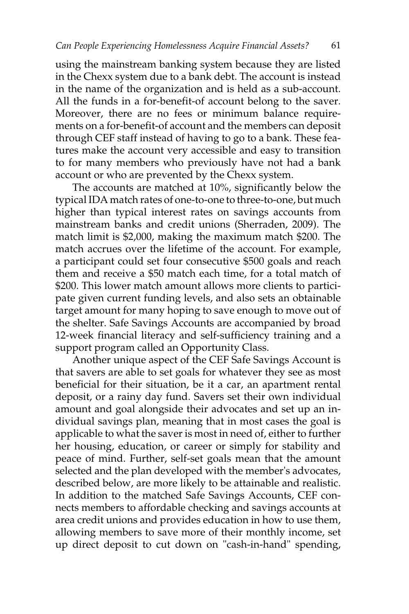using the mainstream banking system because they are listed in the Chexx system due to a bank debt. The account is instead in the name of the organization and is held as a sub-account. All the funds in a for-benefit-of account belong to the saver. Moreover, there are no fees or minimum balance requirements on a for-benefit-of account and the members can deposit through CEF staff instead of having to go to a bank. These features make the account very accessible and easy to transition to for many members who previously have not had a bank account or who are prevented by the Chexx system.

The accounts are matched at 10%, significantly below the typical IDA match rates of one-to-one to three-to-one, but much higher than typical interest rates on savings accounts from mainstream banks and credit unions (Sherraden, 2009). The match limit is \$2,000, making the maximum match \$200. The match accrues over the lifetime of the account. For example, a participant could set four consecutive \$500 goals and reach them and receive a \$50 match each time, for a total match of \$200. This lower match amount allows more clients to participate given current funding levels, and also sets an obtainable target amount for many hoping to save enough to move out of the shelter. Safe Savings Accounts are accompanied by broad 12-week financial literacy and self-sufficiency training and a support program called an Opportunity Class.

Another unique aspect of the CEF Safe Savings Account is that savers are able to set goals for whatever they see as most beneficial for their situation, be it a car, an apartment rental deposit, or a rainy day fund. Savers set their own individual amount and goal alongside their advocates and set up an individual savings plan, meaning that in most cases the goal is applicable to what the saver is most in need of, either to further her housing, education, or career or simply for stability and peace of mind. Further, self-set goals mean that the amount selected and the plan developed with the member's advocates, described below, are more likely to be attainable and realistic. In addition to the matched Safe Savings Accounts, CEF connects members to affordable checking and savings accounts at area credit unions and provides education in how to use them, allowing members to save more of their monthly income, set up direct deposit to cut down on "cash-in-hand" spending,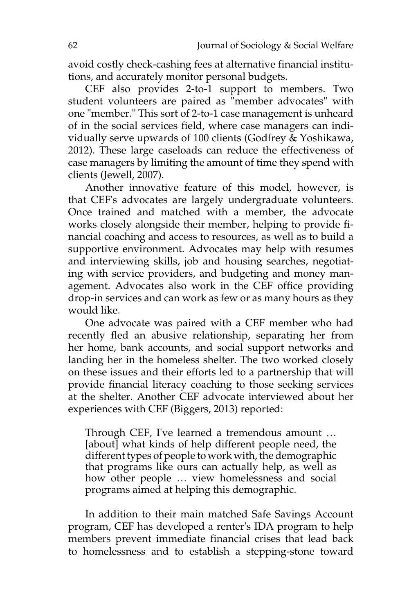avoid costly check-cashing fees at alternative financial institutions, and accurately monitor personal budgets.

CEF also provides 2-to-1 support to members. Two student volunteers are paired as "member advocates" with one "member." This sort of 2-to-1 case management is unheard of in the social services field, where case managers can individually serve upwards of 100 clients (Godfrey & Yoshikawa, 2012). These large caseloads can reduce the effectiveness of case managers by limiting the amount of time they spend with clients (Jewell, 2007).

Another innovative feature of this model, however, is that CEF's advocates are largely undergraduate volunteers. Once trained and matched with a member, the advocate works closely alongside their member, helping to provide financial coaching and access to resources, as well as to build a supportive environment. Advocates may help with resumes and interviewing skills, job and housing searches, negotiating with service providers, and budgeting and money management. Advocates also work in the CEF office providing drop-in services and can work as few or as many hours as they would like.

One advocate was paired with a CEF member who had recently fled an abusive relationship, separating her from her home, bank accounts, and social support networks and landing her in the homeless shelter. The two worked closely on these issues and their efforts led to a partnership that will provide financial literacy coaching to those seeking services at the shelter. Another CEF advocate interviewed about her experiences with CEF (Biggers, 2013) reported:

Through CEF, I've learned a tremendous amount … [about] what kinds of help different people need, the different types of people to work with, the demographic that programs like ours can actually help, as well as how other people … view homelessness and social programs aimed at helping this demographic.

In addition to their main matched Safe Savings Account program, CEF has developed a renter's IDA program to help members prevent immediate financial crises that lead back to homelessness and to establish a stepping-stone toward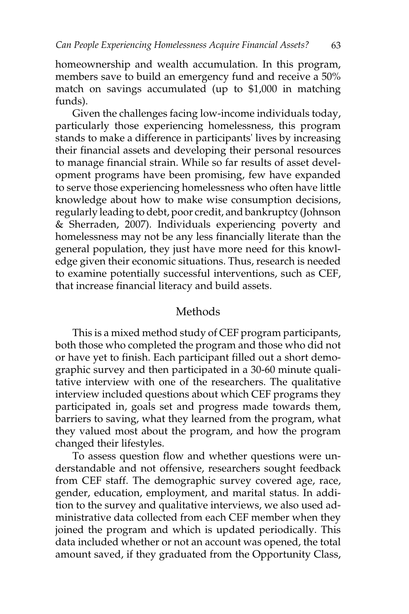homeownership and wealth accumulation. In this program, members save to build an emergency fund and receive a 50% match on savings accumulated (up to \$1,000 in matching funds).

Given the challenges facing low-income individuals today, particularly those experiencing homelessness, this program stands to make a difference in participants' lives by increasing their financial assets and developing their personal resources to manage financial strain. While so far results of asset development programs have been promising, few have expanded to serve those experiencing homelessness who often have little knowledge about how to make wise consumption decisions, regularly leading to debt, poor credit, and bankruptcy (Johnson & Sherraden, 2007). Individuals experiencing poverty and homelessness may not be any less financially literate than the general population, they just have more need for this knowledge given their economic situations. Thus, research is needed to examine potentially successful interventions, such as CEF, that increase financial literacy and build assets.

# Methods

This is a mixed method study of CEF program participants, both those who completed the program and those who did not or have yet to finish. Each participant filled out a short demographic survey and then participated in a 30-60 minute qualitative interview with one of the researchers. The qualitative interview included questions about which CEF programs they participated in, goals set and progress made towards them, barriers to saving, what they learned from the program, what they valued most about the program, and how the program changed their lifestyles.

To assess question flow and whether questions were understandable and not offensive, researchers sought feedback from CEF staff. The demographic survey covered age, race, gender, education, employment, and marital status. In addition to the survey and qualitative interviews, we also used administrative data collected from each CEF member when they joined the program and which is updated periodically. This data included whether or not an account was opened, the total amount saved, if they graduated from the Opportunity Class,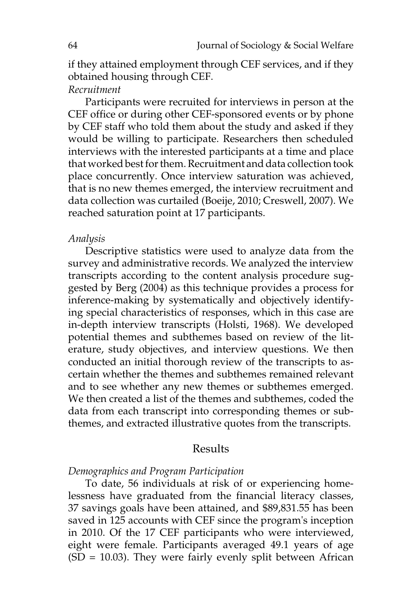if they attained employment through CEF services, and if they obtained housing through CEF.

#### *Recruitment*

Participants were recruited for interviews in person at the CEF office or during other CEF-sponsored events or by phone by CEF staff who told them about the study and asked if they would be willing to participate. Researchers then scheduled interviews with the interested participants at a time and place that worked best for them. Recruitment and data collection took place concurrently. Once interview saturation was achieved, that is no new themes emerged, the interview recruitment and data collection was curtailed (Boeije, 2010; Creswell, 2007). We reached saturation point at 17 participants.

#### *Analysis*

Descriptive statistics were used to analyze data from the survey and administrative records. We analyzed the interview transcripts according to the content analysis procedure suggested by Berg (2004) as this technique provides a process for inference-making by systematically and objectively identifying special characteristics of responses, which in this case are in-depth interview transcripts (Holsti, 1968). We developed potential themes and subthemes based on review of the literature, study objectives, and interview questions. We then conducted an initial thorough review of the transcripts to ascertain whether the themes and subthemes remained relevant and to see whether any new themes or subthemes emerged. We then created a list of the themes and subthemes, coded the data from each transcript into corresponding themes or subthemes, and extracted illustrative quotes from the transcripts.

#### Results

#### *Demographics and Program Participation*

To date, 56 individuals at risk of or experiencing homelessness have graduated from the financial literacy classes, 37 savings goals have been attained, and \$89,831.55 has been saved in 125 accounts with CEF since the program's inception in 2010. Of the 17 CEF participants who were interviewed, eight were female. Participants averaged 49.1 years of age  $(SD = 10.03)$ . They were fairly evenly split between African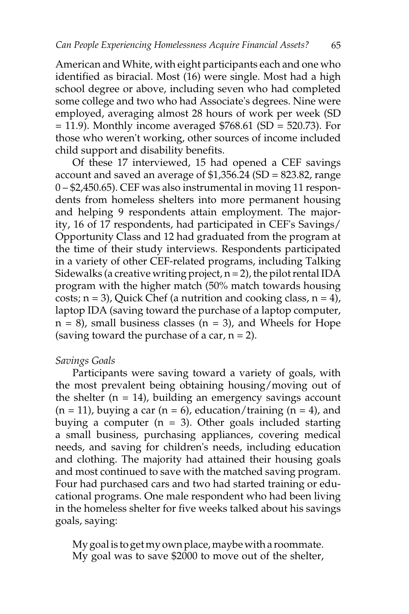American and White, with eight participants each and one who identified as biracial. Most (16) were single. Most had a high school degree or above, including seven who had completed some college and two who had Associate's degrees. Nine were employed, averaging almost 28 hours of work per week (SD  $= 11.9$ ). Monthly income averaged \$768.61 (SD  $= 520.73$ ). For those who weren't working, other sources of income included child support and disability benefits.

Of these 17 interviewed, 15 had opened a CEF savings account and saved an average of \$1,356.24 (SD = 823.82, range 0 – \$2,450.65). CEF was also instrumental in moving 11 respondents from homeless shelters into more permanent housing and helping 9 respondents attain employment. The majority, 16 of 17 respondents, had participated in CEF's Savings/ Opportunity Class and 12 had graduated from the program at the time of their study interviews. Respondents participated in a variety of other CEF-related programs, including Talking Sidewalks (a creative writing project,  $n = 2$ ), the pilot rental IDA program with the higher match (50% match towards housing costs;  $n = 3$ ), Quick Chef (a nutrition and cooking class,  $n = 4$ ), laptop IDA (saving toward the purchase of a laptop computer,  $n = 8$ ), small business classes ( $n = 3$ ), and Wheels for Hope (saving toward the purchase of a car,  $n = 2$ ).

#### *Savings Goals*

Participants were saving toward a variety of goals, with the most prevalent being obtaining housing/moving out of the shelter  $(n = 14)$ , building an emergency savings account  $(n = 11)$ , buying a car  $(n = 6)$ , education/training  $(n = 4)$ , and buying a computer  $(n = 3)$ . Other goals included starting a small business, purchasing appliances, covering medical needs, and saving for children's needs, including education and clothing. The majority had attained their housing goals and most continued to save with the matched saving program. Four had purchased cars and two had started training or educational programs. One male respondent who had been living in the homeless shelter for five weeks talked about his savings goals, saying:

My goal is to get my own place, maybe with a roommate. My goal was to save \$2000 to move out of the shelter,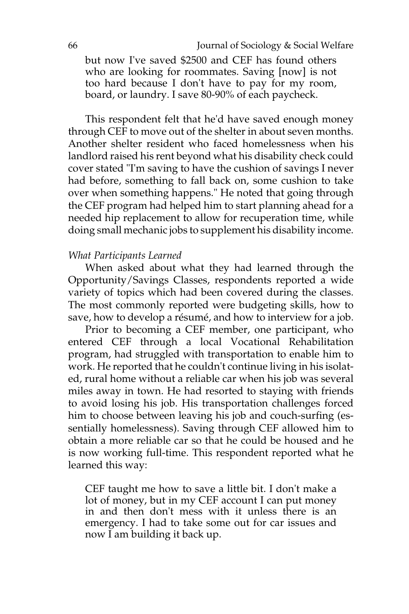but now I've saved \$2500 and CEF has found others who are looking for roommates. Saving [now] is not too hard because I don't have to pay for my room, board, or laundry. I save 80-90% of each paycheck.

This respondent felt that he'd have saved enough money through CEF to move out of the shelter in about seven months. Another shelter resident who faced homelessness when his landlord raised his rent beyond what his disability check could cover stated "I'm saving to have the cushion of savings I never had before, something to fall back on, some cushion to take over when something happens." He noted that going through the CEF program had helped him to start planning ahead for a needed hip replacement to allow for recuperation time, while doing small mechanic jobs to supplement his disability income.

#### *What Participants Learned*

When asked about what they had learned through the Opportunity/Savings Classes, respondents reported a wide variety of topics which had been covered during the classes. The most commonly reported were budgeting skills, how to save, how to develop a résumé, and how to interview for a job.

Prior to becoming a CEF member, one participant, who entered CEF through a local Vocational Rehabilitation program, had struggled with transportation to enable him to work. He reported that he couldn't continue living in his isolated, rural home without a reliable car when his job was several miles away in town. He had resorted to staying with friends to avoid losing his job. His transportation challenges forced him to choose between leaving his job and couch-surfing (essentially homelessness). Saving through CEF allowed him to obtain a more reliable car so that he could be housed and he is now working full-time. This respondent reported what he learned this way:

CEF taught me how to save a little bit. I don't make a lot of money, but in my CEF account I can put money in and then don't mess with it unless there is an emergency. I had to take some out for car issues and now I am building it back up.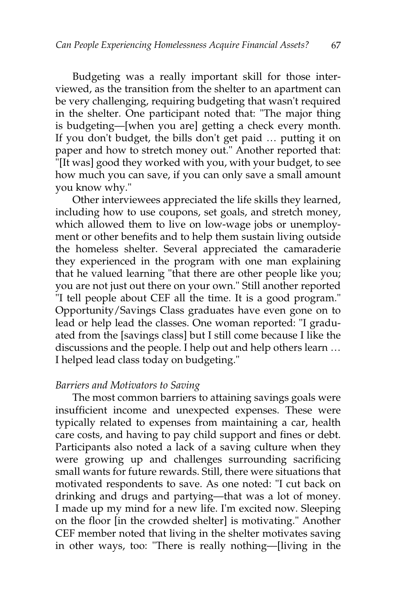Budgeting was a really important skill for those interviewed, as the transition from the shelter to an apartment can be very challenging, requiring budgeting that wasn't required in the shelter. One participant noted that: "The major thing is budgeting—[when you are] getting a check every month. If you don't budget, the bills don't get paid … putting it on paper and how to stretch money out." Another reported that: "[It was] good they worked with you, with your budget, to see how much you can save, if you can only save a small amount you know why."

Other interviewees appreciated the life skills they learned, including how to use coupons, set goals, and stretch money, which allowed them to live on low-wage jobs or unemployment or other benefits and to help them sustain living outside the homeless shelter. Several appreciated the camaraderie they experienced in the program with one man explaining that he valued learning "that there are other people like you; you are not just out there on your own." Still another reported "I tell people about CEF all the time. It is a good program." Opportunity/Savings Class graduates have even gone on to lead or help lead the classes. One woman reported: "I graduated from the [savings class] but I still come because I like the discussions and the people. I help out and help others learn … I helped lead class today on budgeting."

# *Barriers and Motivators to Saving*

The most common barriers to attaining savings goals were insufficient income and unexpected expenses. These were typically related to expenses from maintaining a car, health care costs, and having to pay child support and fines or debt. Participants also noted a lack of a saving culture when they were growing up and challenges surrounding sacrificing small wants for future rewards. Still, there were situations that motivated respondents to save. As one noted: "I cut back on drinking and drugs and partying—that was a lot of money. I made up my mind for a new life. I'm excited now. Sleeping on the floor [in the crowded shelter] is motivating." Another CEF member noted that living in the shelter motivates saving in other ways, too: "There is really nothing—[living in the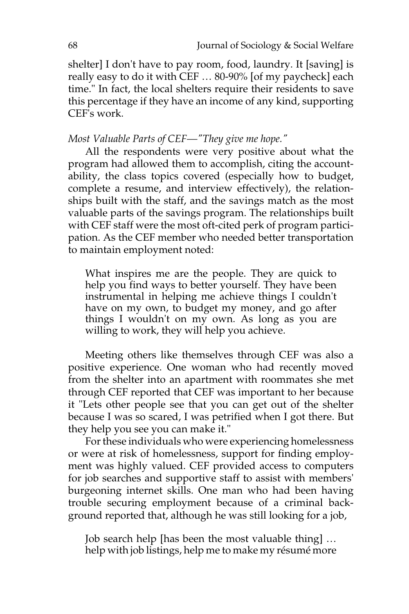shelter] I don't have to pay room, food, laundry. It [saving] is really easy to do it with CEF … 80-90% [of my paycheck] each time." In fact, the local shelters require their residents to save this percentage if they have an income of any kind, supporting CEF's work.

# *Most Valuable Parts of CEF—"They give me hope."*

All the respondents were very positive about what the program had allowed them to accomplish, citing the accountability, the class topics covered (especially how to budget, complete a resume, and interview effectively), the relationships built with the staff, and the savings match as the most valuable parts of the savings program. The relationships built with CEF staff were the most oft-cited perk of program participation. As the CEF member who needed better transportation to maintain employment noted:

What inspires me are the people. They are quick to help you find ways to better yourself. They have been instrumental in helping me achieve things I couldn't have on my own, to budget my money, and go after things I wouldn't on my own. As long as you are willing to work, they will help you achieve.

Meeting others like themselves through CEF was also a positive experience. One woman who had recently moved from the shelter into an apartment with roommates she met through CEF reported that CEF was important to her because it "Lets other people see that you can get out of the shelter because I was so scared, I was petrified when I got there. But they help you see you can make it."

For these individuals who were experiencing homelessness or were at risk of homelessness, support for finding employment was highly valued. CEF provided access to computers for job searches and supportive staff to assist with members' burgeoning internet skills. One man who had been having trouble securing employment because of a criminal background reported that, although he was still looking for a job,

Job search help [has been the most valuable thing] … help with job listings, help me to make my résumé more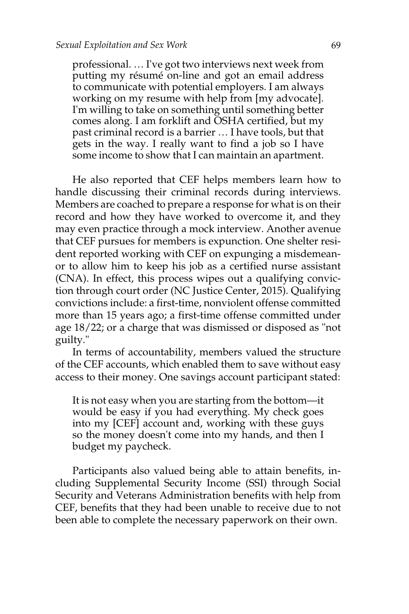professional. … I've got two interviews next week from putting my résumé on-line and got an email address to communicate with potential employers. I am always working on my resume with help from [my advocate]. I'm willing to take on something until something better comes along. I am forklift and OSHA certified, but my past criminal record is a barrier … I have tools, but that gets in the way. I really want to find a job so I have some income to show that I can maintain an apartment.

He also reported that CEF helps members learn how to handle discussing their criminal records during interviews. Members are coached to prepare a response for what is on their record and how they have worked to overcome it, and they may even practice through a mock interview. Another avenue that CEF pursues for members is expunction. One shelter resident reported working with CEF on expunging a misdemeanor to allow him to keep his job as a certified nurse assistant (CNA). In effect, this process wipes out a qualifying conviction through court order (NC Justice Center, 2015). Qualifying convictions include: a first-time, nonviolent offense committed more than 15 years ago; a first-time offense committed under age 18/22; or a charge that was dismissed or disposed as "not guilty."

In terms of accountability, members valued the structure of the CEF accounts, which enabled them to save without easy access to their money. One savings account participant stated:

It is not easy when you are starting from the bottom—it would be easy if you had everything. My check goes into my [CEF] account and, working with these guys so the money doesn't come into my hands, and then I budget my paycheck.

Participants also valued being able to attain benefits, including Supplemental Security Income (SSI) through Social Security and Veterans Administration benefits with help from CEF, benefits that they had been unable to receive due to not been able to complete the necessary paperwork on their own.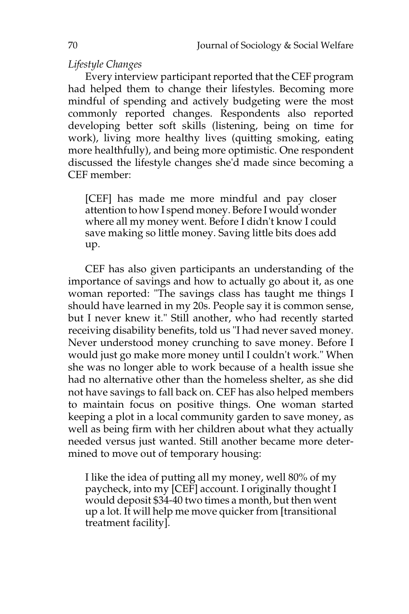# *Lifestyle Changes*

Every interview participant reported that the CEF program had helped them to change their lifestyles. Becoming more mindful of spending and actively budgeting were the most commonly reported changes. Respondents also reported developing better soft skills (listening, being on time for work), living more healthy lives (quitting smoking, eating more healthfully), and being more optimistic. One respondent discussed the lifestyle changes she'd made since becoming a CEF member:

[CEF] has made me more mindful and pay closer attention to how I spend money. Before I would wonder where all my money went. Before I didn't know I could save making so little money. Saving little bits does add up.

CEF has also given participants an understanding of the importance of savings and how to actually go about it, as one woman reported: "The savings class has taught me things I should have learned in my 20s. People say it is common sense, but I never knew it." Still another, who had recently started receiving disability benefits, told us "I had never saved money. Never understood money crunching to save money. Before I would just go make more money until I couldn't work." When she was no longer able to work because of a health issue she had no alternative other than the homeless shelter, as she did not have savings to fall back on. CEF has also helped members to maintain focus on positive things. One woman started keeping a plot in a local community garden to save money, as well as being firm with her children about what they actually needed versus just wanted. Still another became more determined to move out of temporary housing:

I like the idea of putting all my money, well 80% of my paycheck, into my [CEF] account. I originally thought I would deposit \$34-40 two times a month, but then went up a lot. It will help me move quicker from [transitional treatment facility].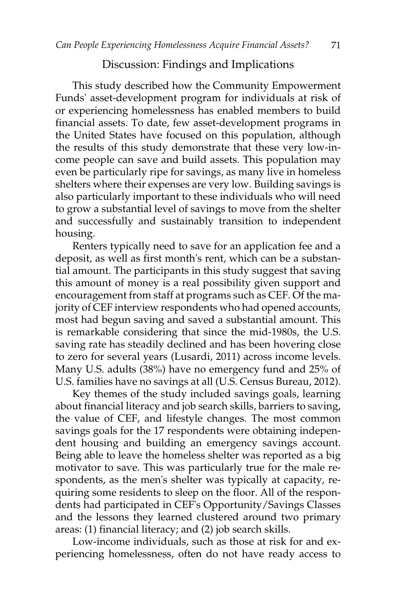# Discussion: Findings and Implications

This study described how the Community Empowerment Funds' asset-development program for individuals at risk of or experiencing homelessness has enabled members to build financial assets. To date, few asset-development programs in the United States have focused on this population, although the results of this study demonstrate that these very low-income people can save and build assets. This population may even be particularly ripe for savings, as many live in homeless shelters where their expenses are very low. Building savings is also particularly important to these individuals who will need to grow a substantial level of savings to move from the shelter and successfully and sustainably transition to independent housing.

Renters typically need to save for an application fee and a deposit, as well as first month's rent, which can be a substantial amount. The participants in this study suggest that saving this amount of money is a real possibility given support and encouragement from staff at programs such as CEF. Of the majority of CEF interview respondents who had opened accounts, most had begun saving and saved a substantial amount. This is remarkable considering that since the mid-1980s, the U.S. saving rate has steadily declined and has been hovering close to zero for several years (Lusardi, 2011) across income levels. Many U.S. adults (38%) have no emergency fund and 25% of U.S. families have no savings at all (U.S. Census Bureau, 2012).

Key themes of the study included savings goals, learning about financial literacy and job search skills, barriers to saving, the value of CEF, and lifestyle changes. The most common savings goals for the 17 respondents were obtaining independent housing and building an emergency savings account. Being able to leave the homeless shelter was reported as a big motivator to save. This was particularly true for the male respondents, as the men's shelter was typically at capacity, requiring some residents to sleep on the floor. All of the respondents had participated in CEF's Opportunity/Savings Classes and the lessons they learned clustered around two primary areas: (1) financial literacy; and (2) job search skills.

Low-income individuals, such as those at risk for and experiencing homelessness, often do not have ready access to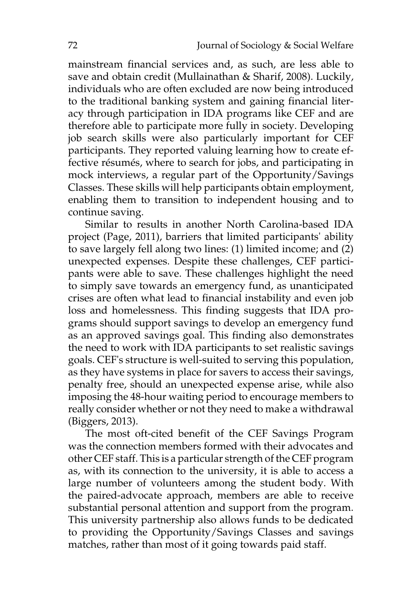mainstream financial services and, as such, are less able to save and obtain credit (Mullainathan & Sharif, 2008). Luckily, individuals who are often excluded are now being introduced to the traditional banking system and gaining financial literacy through participation in IDA programs like CEF and are therefore able to participate more fully in society. Developing job search skills were also particularly important for CEF participants. They reported valuing learning how to create effective résumés, where to search for jobs, and participating in mock interviews, a regular part of the Opportunity/Savings Classes. These skills will help participants obtain employment, enabling them to transition to independent housing and to continue saving.

Similar to results in another North Carolina-based IDA project (Page, 2011), barriers that limited participants' ability to save largely fell along two lines: (1) limited income; and (2) unexpected expenses. Despite these challenges, CEF participants were able to save. These challenges highlight the need to simply save towards an emergency fund, as unanticipated crises are often what lead to financial instability and even job loss and homelessness. This finding suggests that IDA programs should support savings to develop an emergency fund as an approved savings goal. This finding also demonstrates the need to work with IDA participants to set realistic savings goals. CEF's structure is well-suited to serving this population, as they have systems in place for savers to access their savings, penalty free, should an unexpected expense arise, while also imposing the 48-hour waiting period to encourage members to really consider whether or not they need to make a withdrawal (Biggers, 2013).

The most oft-cited benefit of the CEF Savings Program was the connection members formed with their advocates and other CEF staff. This is a particular strength of the CEF program as, with its connection to the university, it is able to access a large number of volunteers among the student body. With the paired-advocate approach, members are able to receive substantial personal attention and support from the program. This university partnership also allows funds to be dedicated to providing the Opportunity/Savings Classes and savings matches, rather than most of it going towards paid staff.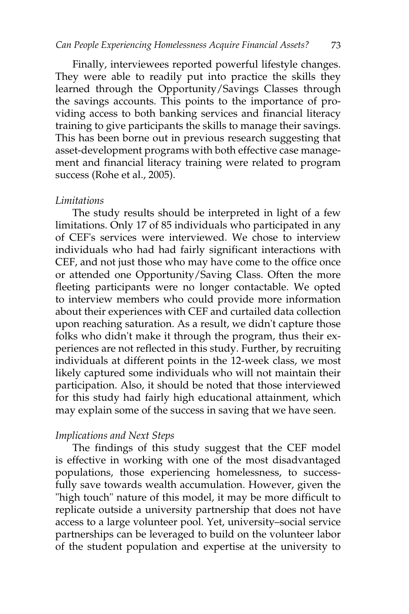Finally, interviewees reported powerful lifestyle changes. They were able to readily put into practice the skills they learned through the Opportunity/Savings Classes through the savings accounts. This points to the importance of providing access to both banking services and financial literacy training to give participants the skills to manage their savings. This has been borne out in previous research suggesting that asset-development programs with both effective case management and financial literacy training were related to program success (Rohe et al., 2005).

#### *Limitations*

The study results should be interpreted in light of a few limitations. Only 17 of 85 individuals who participated in any of CEF's services were interviewed. We chose to interview individuals who had had fairly significant interactions with CEF, and not just those who may have come to the office once or attended one Opportunity/Saving Class. Often the more fleeting participants were no longer contactable. We opted to interview members who could provide more information about their experiences with CEF and curtailed data collection upon reaching saturation. As a result, we didn't capture those folks who didn't make it through the program, thus their experiences are not reflected in this study. Further, by recruiting individuals at different points in the 12-week class, we most likely captured some individuals who will not maintain their participation. Also, it should be noted that those interviewed for this study had fairly high educational attainment, which may explain some of the success in saving that we have seen.

# *Implications and Next Steps*

The findings of this study suggest that the CEF model is effective in working with one of the most disadvantaged populations, those experiencing homelessness, to successfully save towards wealth accumulation. However, given the "high touch" nature of this model, it may be more difficult to replicate outside a university partnership that does not have access to a large volunteer pool. Yet, university–social service partnerships can be leveraged to build on the volunteer labor of the student population and expertise at the university to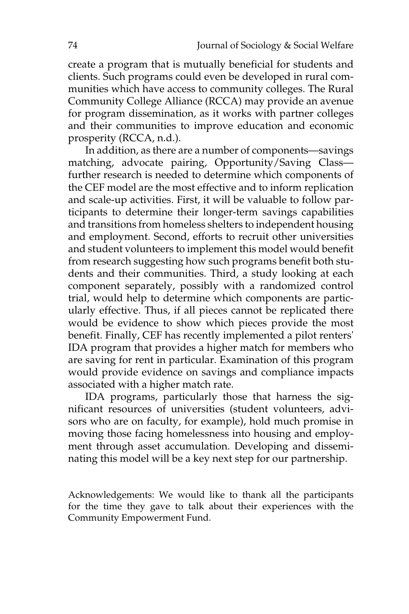create a program that is mutually beneficial for students and clients. Such programs could even be developed in rural communities which have access to community colleges. The Rural Community College Alliance (RCCA) may provide an avenue for program dissemination, as it works with partner colleges and their communities to improve education and economic prosperity (RCCA, n.d.).

In addition, as there are a number of components—savings matching, advocate pairing, Opportunity/Saving Class further research is needed to determine which components of the CEF model are the most effective and to inform replication and scale-up activities. First, it will be valuable to follow participants to determine their longer-term savings capabilities and transitions from homeless shelters to independent housing and employment. Second, efforts to recruit other universities and student volunteers to implement this model would benefit from research suggesting how such programs benefit both students and their communities. Third, a study looking at each component separately, possibly with a randomized control trial, would help to determine which components are particularly effective. Thus, if all pieces cannot be replicated there would be evidence to show which pieces provide the most benefit. Finally, CEF has recently implemented a pilot renters' IDA program that provides a higher match for members who are saving for rent in particular. Examination of this program would provide evidence on savings and compliance impacts associated with a higher match rate.

IDA programs, particularly those that harness the significant resources of universities (student volunteers, advisors who are on faculty, for example), hold much promise in moving those facing homelessness into housing and employment through asset accumulation. Developing and disseminating this model will be a key next step for our partnership.

Acknowledgements: We would like to thank all the participants for the time they gave to talk about their experiences with the Community Empowerment Fund.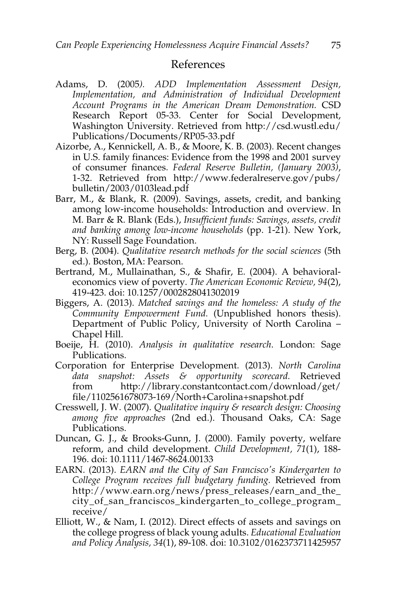#### References

- Adams, D. (2005*). ADD Implementation Assessment Design, Implementation, and Administration of Individual Development Account Programs in the American Dream Demonstration.* CSD Research Report 05-33. Center for Social Development, Washington University. Retrieved from http://csd.wustl.edu/ Publications/Documents/RP05-33.pdf
- Aizorbe, A., Kennickell, A. B., & Moore, K. B. (2003). Recent changes in U.S. family finances: Evidence from the 1998 and 2001 survey of consumer finances. *Federal Reserve Bulletin, (January 2003)*, 1-32. Retrieved from http://www.federalreserve.gov/pubs/ bulletin/2003/0103lead.pdf
- Barr, M., & Blank, R. (2009). Savings, assets, credit, and banking among low-income households: Introduction and overview. In M. Barr & R. Blank (Eds.), *Insufficient funds: Savings, assets, credit and banking among low-income households* (pp. 1-21). New York, NY: Russell Sage Foundation.
- Berg, B. (2004). *Qualitative research methods for the social sciences* (5th ed.). Boston, MA: Pearson.
- Bertrand, M., Mullainathan, S., & Shafir, E. (2004). A behavioraleconomics view of poverty. *The American Economic Review, 94*(2), 419-423. doi: 10.1257/0002828041302019
- Biggers, A. (2013). *Matched savings and the homeless: A study of the Community Empowerment Fund.* (Unpublished honors thesis). Department of Public Policy, University of North Carolina – Chapel Hill.
- Boeije, H. (2010). *Analysis in qualitative research*. London: Sage Publications.
- Corporation for Enterprise Development. (2013). *North Carolina data snapshot: Assets & opportunity scorecard.* Retrieved from http://library.constantcontact.com/download/get/ file/1102561678073-169/North+Carolina+snapshot.pdf
- Cresswell, J. W. (2007). *Qualitative inquiry & research design: Choosing among five approaches* (2nd ed.). Thousand Oaks, CA: Sage Publications.
- Duncan, G. J., & Brooks-Gunn, J. (2000). Family poverty, welfare reform, and child development. *Child Development, 71*(1), 188- 196. doi: 10.1111/1467-8624.00133
- EARN. (2013). *EARN and the City of San Francisco's Kindergarten to College Program receives full budgetary funding.* Retrieved from http://www.earn.org/news/press\_releases/earn\_and\_the\_ city\_of\_san\_franciscos\_kindergarten\_to\_college\_program\_ receive/
- Elliott, W., & Nam, I. (2012). Direct effects of assets and savings on the college progress of black young adults. *Educational Evaluation and Policy Analysis, 34*(1), 89-108. doi: 10.3102/0162373711425957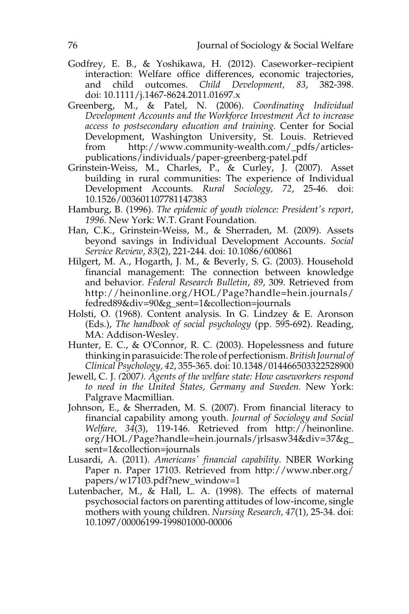- Godfrey, E. B., & Yoshikawa, H. (2012). Caseworker–recipient interaction: Welfare office differences, economic trajectories, and child outcomes. *Child Development, 83*, 382-398. doi: 10.1111/j.1467-8624.2011.01697.x
- Greenberg, M., & Patel, N. (2006). *Coordinating Individual Development Accounts and the Workforce Investment Act to increase access to postsecondary education and training.* Center for Social Development, Washington University, St. Louis. Retrieved from http://www.community-wealth.com/\_pdfs/articlespublications/individuals/paper-greenberg-patel.pdf
- Grinstein-Weiss, M., Charles, P., & Curley, J. (2007). Asset building in rural communities: The experience of Individual Development Accounts. *Rural Sociology, 72*, 25-46. doi: 10.1526/003601107781147383
- Hamburg, B. (1996). *The epidemic of youth violence: President's report, 1996.* New York: W.T. Grant Foundation.
- Han, C.K., Grinstein-Weiss, M., & Sherraden, M. (2009). Assets beyond savings in Individual Development Accounts. *Social Service Review*, *83*(2), 221-244. doi: 10.1086/600861
- Hilgert, M. A., Hogarth, J. M., & Beverly, S. G. (2003). Household financial management: The connection between knowledge and behavior. *Federal Research Bulletin*, *89*, 309. Retrieved from http://heinonline.org/HOL/Page?handle=hein.journals/ fedred89&div=90&g\_sent=1&collection=journals
- Holsti, O. (1968). Content analysis*.* In G. Lindzey & E. Aronson (Eds.), *The handbook of social psychology* (pp. 595-692). Reading, MA: Addison-Wesley.
- Hunter, E. C., & O'Connor, R. C. (2003). Hopelessness and future thinking in parasuicide: The role of perfectionism. *British Journal of Clinical Psychology, 42*, 355-365. doi: 10.1348/014466503322528900
- Jewell, C. J. *(*2007*). Agents of the welfare state: How caseworkers respond to need in the United States, Germany and Sweden.* New York: Palgrave Macmillian.
- Johnson, E., & Sherraden, M. S. (2007). From financial literacy to financial capability among youth. *Journal of Sociology and Social Welfare, 34*(3), 119-146. Retrieved from http://heinonline. org/HOL/Page?handle=hein.journals/jrlsasw34&div=37&g\_ sent=1&collection=journals
- Lusardi, A. (2011). *Americans' financial capability*. NBER Working Paper n. Paper 17103. Retrieved from http://www.nber.org/ papers/w17103.pdf?new\_window=1
- Lutenbacher, M.,  $\&$  Hall, L. A. (1998). The effects of maternal psychosocial factors on parenting attitudes of low-income, single mothers with young children. *Nursing Research, 47*(1), 25-34. doi: 10.1097/00006199-199801000-00006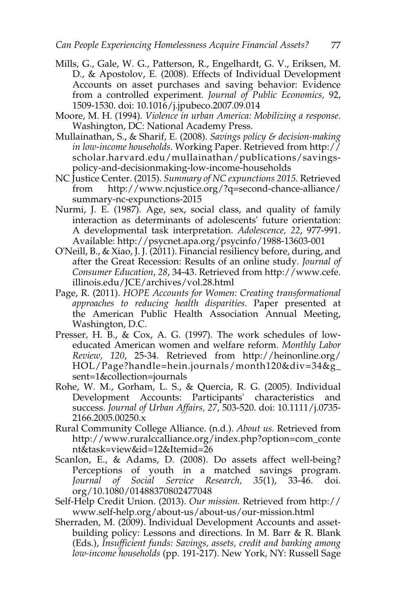- Mills, G., Gale, W. G., Patterson, R., Engelhardt, G. V., Eriksen, M. D., & Apostolov, E. (2008). Effects of Individual Development Accounts on asset purchases and saving behavior: Evidence from a controlled experiment. *Journal of Public Economics,* 92, 1509-1530. doi: 10.1016/j.jpubeco.2007.09.014
- Moore, M. H. (1994). *Violence in urban America: Mobilizing a response*. Washington, DC: National Academy Press.
- Mullainathan, S., & Sharif, E. (2008). *Savings policy & decision-making in low-income households.* Working Paper. Retrieved from [http://](http://scholar.harvard.edu/mullainathan/publications/savings-policy-and-decisionmaking-low-income-households) [scholar.harvard.edu/mullainathan/publications/savings](http://scholar.harvard.edu/mullainathan/publications/savings-policy-and-decisionmaking-low-income-households)[policy-and-decisionmaking-low-income-households](http://scholar.harvard.edu/mullainathan/publications/savings-policy-and-decisionmaking-low-income-households)
- NC Justice Center. (2015). *Summary of NC expunctions 2015.* Retrieved from http://www.ncjustice.org/?q=second-chance-alliance/ summary-nc-expunctions-2015
- Nurmi, J. E. (1987). Age, sex, social class, and quality of family interaction as determinants of adolescents' future orientation: A developmental task interpretation. *Adolescence, 22*, 977-991. Available: http://psycnet.apa.org/psycinfo/1988-13603-001
- O'Neill, B., & Xiao, J. J. (2011). Financial resiliency before, during, and after the Great Recession: Results of an online study. *Journal of Consumer Education*, *28*, 34-43. Retrieved from http://www.cefe. illinois.edu/JCE/archives/vol.28.html
- Page, R. (2011). *HOPE Accounts for Women: Creating transformational approaches to reducing health disparities*. Paper presented at the American Public Health Association Annual Meeting, Washington, D.C.
- Presser, H. B., & Cox, A. G. (1997). The work schedules of loweducated American women and welfare reform. *Monthly Labor Review, 120*, 25-34. Retrieved from http://heinonline.org/ HOL/Page?handle=hein.journals/month120&div=34&g\_ sent=1&collection=journals
- Rohe, W. M., Gorham, L. S., & Quercia, R. G. (2005). Individual Development Accounts: Participants' characteristics and success. *Journal of Urban Affairs, 27*, 503-520. doi: 10.1111/j.0735- 2166.2005.00250.x
- Rural Community College Alliance. (n.d.). *About us.* Retrieved from http://www.ruralccalliance.org/index.php?option=com\_conte nt&task=view&id=12&Itemid=26
- Scanlon, E., & Adams, D. (2008). Do assets affect well-being? Perceptions of youth in a matched savings program. *Journal of Social Service Research, 35*(1), 33-46. doi. org/10.1080/01488370802477048
- Self-Help Credit Union. (2013). *Our mission.* Retrieved from http:// www.self-help.org/about-us/about-us/our-mission.html
- Sherraden, M. (2009). Individual Development Accounts and assetbuilding policy: Lessons and directions. In M. Barr & R. Blank (Eds.), *Insufficient funds: Savings, assets, credit and banking among low-income households* (pp. 191-217). New York, NY: Russell Sage